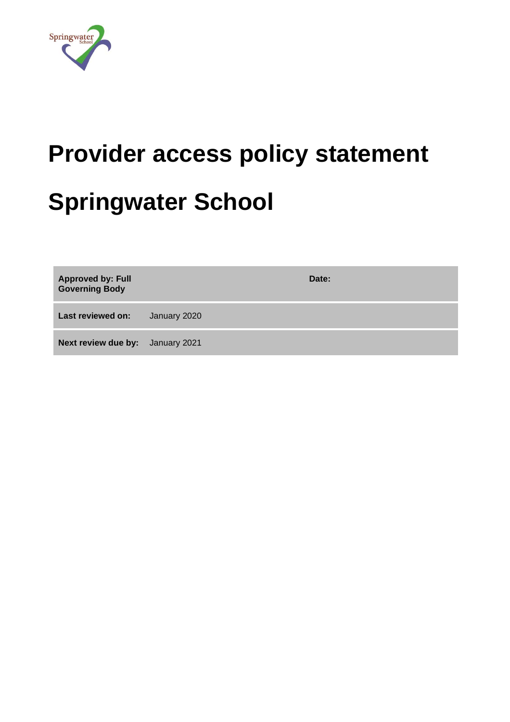

# **Provider access policy statement Springwater School**

| <b>Approved by: Full</b><br><b>Governing Body</b> | Date:        |
|---------------------------------------------------|--------------|
| Last reviewed on:                                 | January 2020 |
| <b>Next review due by:</b> January 2021           |              |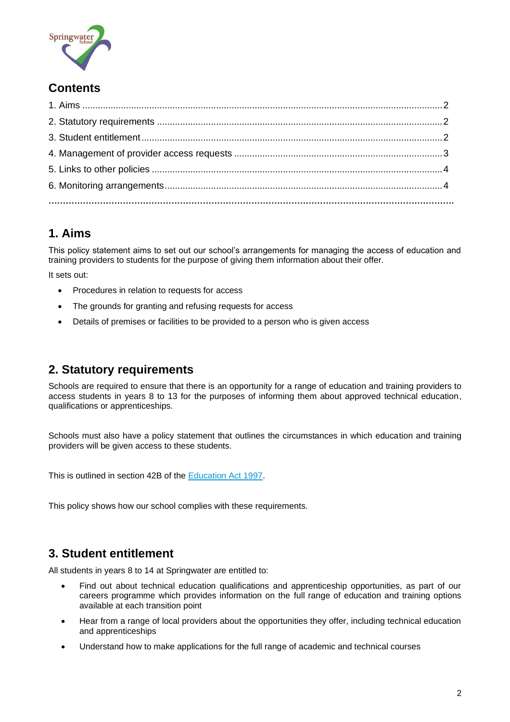

## **Contents**

# <span id="page-1-0"></span>**1. Aims**

This policy statement aims to set out our school's arrangements for managing the access of education and training providers to students for the purpose of giving them information about their offer.

It sets out:

- Procedures in relation to requests for access
- The grounds for granting and refusing requests for access
- Details of premises or facilities to be provided to a person who is given access

## <span id="page-1-1"></span>**2. Statutory requirements**

Schools are required to ensure that there is an opportunity for a range of education and training providers to access students in years 8 to 13 for the purposes of informing them about approved technical education, qualifications or apprenticeships.

Schools must also have a policy statement that outlines the circumstances in which education and training providers will be given access to these students.

This is outlined in section 42B of the [Education Act 1997.](https://www.legislation.gov.uk/ukpga/1997/44/section/42B)

This policy shows how our school complies with these requirements.

## <span id="page-1-2"></span>**3. Student entitlement**

All students in years 8 to 14 at Springwater are entitled to:

- Find out about technical education qualifications and apprenticeship opportunities, as part of our careers programme which provides information on the full range of education and training options available at each transition point
- Hear from a range of local providers about the opportunities they offer, including technical education and apprenticeships
- Understand how to make applications for the full range of academic and technical courses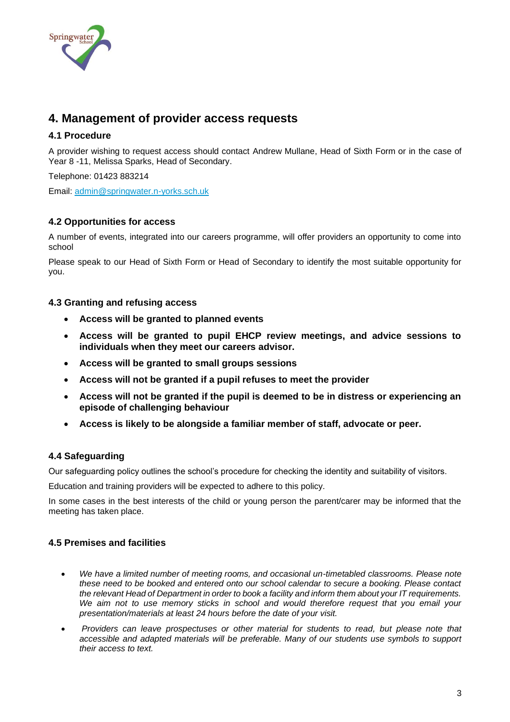

## <span id="page-2-0"></span>**4. Management of provider access requests**

#### **4.1 Procedure**

A provider wishing to request access should contact Andrew Mullane, Head of Sixth Form or in the case of Year 8 -11, Melissa Sparks, Head of Secondary.

Telephone: 01423 883214

Email: [admin@springwater.n-yorks.sch.uk](mailto:admin@springwater.n-yorks.sch.uk)

#### **4.2 Opportunities for access**

A number of events, integrated into our careers programme, will offer providers an opportunity to come into school

Please speak to our Head of Sixth Form or Head of Secondary to identify the most suitable opportunity for you.

#### **4.3 Granting and refusing access**

- **Access will be granted to planned events**
- **Access will be granted to pupil EHCP review meetings, and advice sessions to individuals when they meet our careers advisor.**
- **Access will be granted to small groups sessions**
- **Access will not be granted if a pupil refuses to meet the provider**
- **Access will not be granted if the pupil is deemed to be in distress or experiencing an episode of challenging behaviour**
- **Access is likely to be alongside a familiar member of staff, advocate or peer.**

#### **4.4 Safeguarding**

Our safeguarding policy outlines the school's procedure for checking the identity and suitability of visitors.

Education and training providers will be expected to adhere to this policy.

In some cases in the best interests of the child or young person the parent/carer may be informed that the meeting has taken place.

#### **4.5 Premises and facilities**

- *We have a limited number of meeting rooms, and occasional un-timetabled classrooms. Please note these need to be booked and entered onto our school calendar to secure a booking. Please contact the relevant Head of Department in order to book a facility and inform them about your IT requirements. We aim not to use memory sticks in school and would therefore request that you email your presentation/materials at least 24 hours before the date of your visit.*
- *Providers can leave prospectuses or other material for students to read, but please note that accessible and adapted materials will be preferable. Many of our students use symbols to support their access to text.*